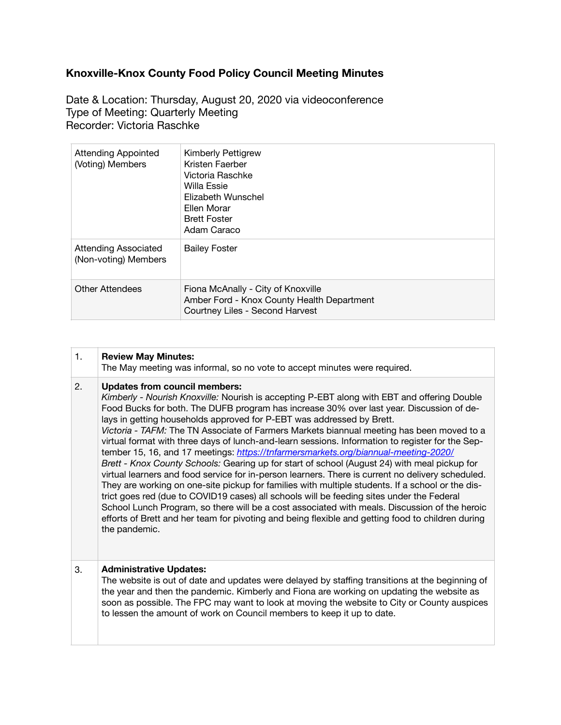## **Knoxville-Knox County Food Policy Council Meeting Minutes**

Date & Location: Thursday, August 20, 2020 via videoconference Type of Meeting: Quarterly Meeting Recorder: Victoria Raschke

| <b>Attending Appointed</b><br>(Voting) Members      | <b>Kimberly Pettigrew</b><br>Kristen Faerber<br>Victoria Raschke<br>Willa Essie<br>Elizabeth Wunschel<br>Ellen Morar<br><b>Brett Foster</b><br>Adam Caraco |
|-----------------------------------------------------|------------------------------------------------------------------------------------------------------------------------------------------------------------|
| <b>Attending Associated</b><br>(Non-voting) Members | <b>Bailey Foster</b>                                                                                                                                       |
| <b>Other Attendees</b>                              | Fiona McAnally - City of Knoxville<br>Amber Ford - Knox County Health Department<br>Courtney Liles - Second Harvest                                        |

## 1. **Review May Minutes:**

The May meeting was informal, so no vote to accept minutes were required.

## 2. **Updates from council members:**

*Kimberly - Nourish Knoxville:* Nourish is accepting P-EBT along with EBT and offering Double Food Bucks for both. The DUFB program has increase 30% over last year. Discussion of delays in getting households approved for P-EBT was addressed by Brett. *Victoria - TAFM:* The TN Associate of Farmers Markets biannual meeting has been moved to a virtual format with three days of lunch-and-learn sessions. Information to register for the September 15, 16, and 17 meetings: *<https://tnfarmersmarkets.org/biannual-meeting-2020/> Brett - Knox County Schools:* Gearing up for start of school (August 24) with meal pickup for virtual learners and food service for in-person learners. There is current no delivery scheduled. They are working on one-site pickup for families with multiple students. If a school or the district goes red (due to COVID19 cases) all schools will be feeding sites under the Federal School Lunch Program, so there will be a cost associated with meals. Discussion of the heroic efforts of Brett and her team for pivoting and being flexible and getting food to children during

the pandemic.

## 3. **Administrative Updates:**

The website is out of date and updates were delayed by staffing transitions at the beginning of the year and then the pandemic. Kimberly and Fiona are working on updating the website as soon as possible. The FPC may want to look at moving the website to City or County auspices to lessen the amount of work on Council members to keep it up to date.